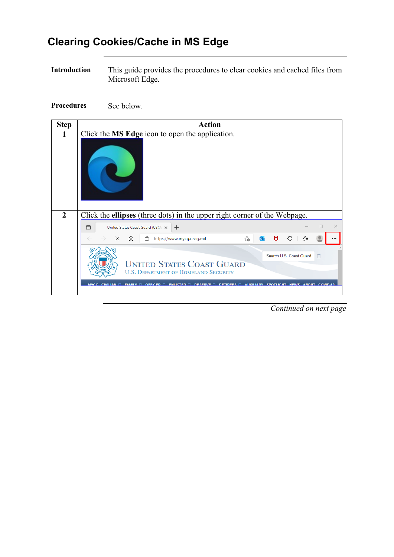## **Clearing Cookies/Cache in MS Edge**

**Introduction** This guide provides the procedures to clear cookies and cached files from Microsoft Edge.

**Procedures** See below.

| <b>Step</b>    | <b>Action</b>                                                                                                                                                                |
|----------------|------------------------------------------------------------------------------------------------------------------------------------------------------------------------------|
| 1              | Click the MS Edge icon to open the application.                                                                                                                              |
|                |                                                                                                                                                                              |
| $\overline{2}$ | Click the <b>ellipses</b> (three dots) in the upper right corner of the Webpage.                                                                                             |
|                | $\times$<br>United States Coast Guard (USCE X<br>$\Box$<br>$^{+}$                                                                                                            |
|                | ⋒<br>ౕౚ<br>o.<br>$\times$<br>Ĥ<br>https://www.mycg.uscg.mil<br>М<br>5 र<br>≼'≡                                                                                               |
|                | Search U.S. Coast Guard                                                                                                                                                      |
|                | п<br><b>UNITED STATES COAST GUARD</b><br><b>U.S. DEPARTMENT OF HOMELAND SECURITY</b>                                                                                         |
|                | <b>MYCG</b><br>FAMILY $\Box$ Officed $\Box$ FNITRTED $\Box$ Deserve $\Box$ Detidees $\Box$<br><b>AUXILIADY SPOTLIGHT NEWS</b><br><b>AROUT</b><br>COVID-19<br><b>CIVILIAN</b> |

*Continued on next page*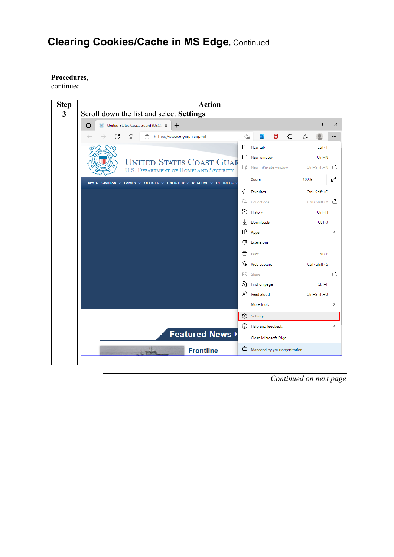#### **Procedures**,

continued



*Continued on next page*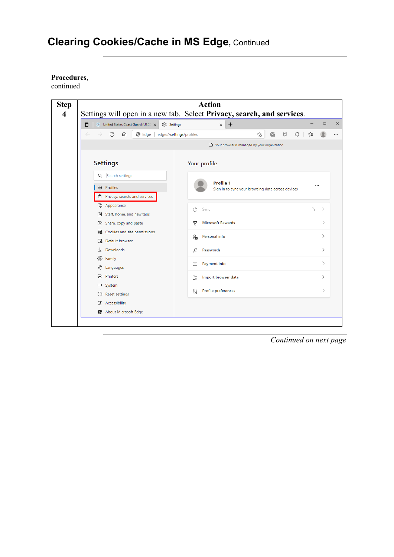#### **Procedures**,

continued



*Continued on next page*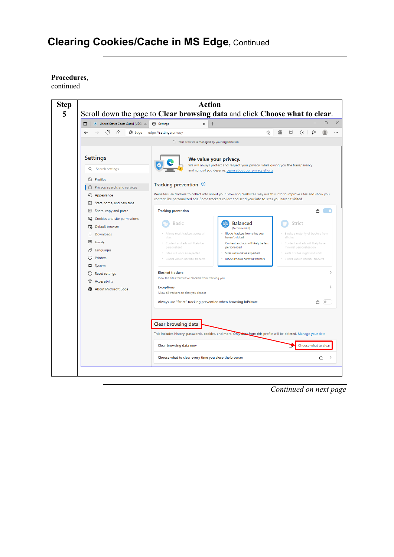#### **Procedures**,

continued



*Continued on next page*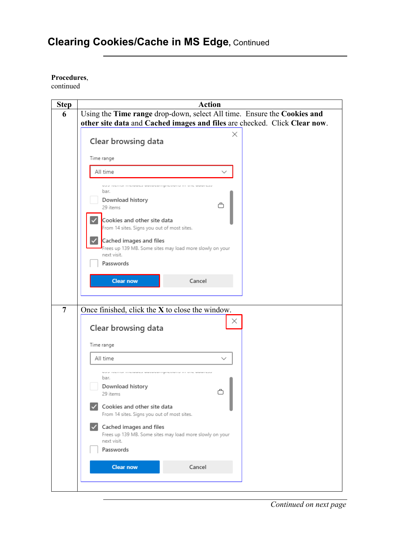### **Procedures**,

continued

| <b>Step</b>    | <b>Action</b>                                                                |
|----------------|------------------------------------------------------------------------------|
| 6              | Using the Time range drop-down, select All time. Ensure the Cookies and      |
|                | other site data and Cached images and files are checked. Click Clear now.    |
|                | ×                                                                            |
|                | Clear browsing data                                                          |
|                |                                                                              |
|                | Time range                                                                   |
|                | All time<br>$\checkmark$                                                     |
|                | <b>Marie Political Instrumental Geographic Particular International Case</b> |
|                | bar.                                                                         |
|                | Download history                                                             |
|                | Å<br>29 items                                                                |
|                | Cookies and other site data                                                  |
|                | From 14 sites. Signs you out of most sites.                                  |
|                | Cached images and files                                                      |
|                | Frees up 139 MB. Some sites may load more slowly on your                     |
|                | next visit.                                                                  |
|                | Passwords                                                                    |
|                |                                                                              |
|                | Cancel<br><b>Clear now</b>                                                   |
|                |                                                                              |
|                |                                                                              |
| $\overline{7}$ | Once finished, click the $X$ to close the window.                            |
|                | ×                                                                            |
|                | Clear browsing data                                                          |
|                | Time range                                                                   |
|                |                                                                              |
|                | All time<br>$\checkmark$                                                     |
|                | www.nearnaminease.ca/seconding/econditions-second-                           |
|                | bar.                                                                         |
|                | Download history                                                             |
|                | 29 items                                                                     |
|                | Cookies and other site data                                                  |
|                | From 14 sites. Signs you out of most sites.                                  |
|                | Cached images and files                                                      |
|                | Frees up 139 MB. Some sites may load more slowly on your                     |
|                | next visit.                                                                  |
|                | Passwords                                                                    |
|                | Cancel<br><b>Clear now</b>                                                   |
|                |                                                                              |
|                |                                                                              |
|                |                                                                              |

*Continued on next page*